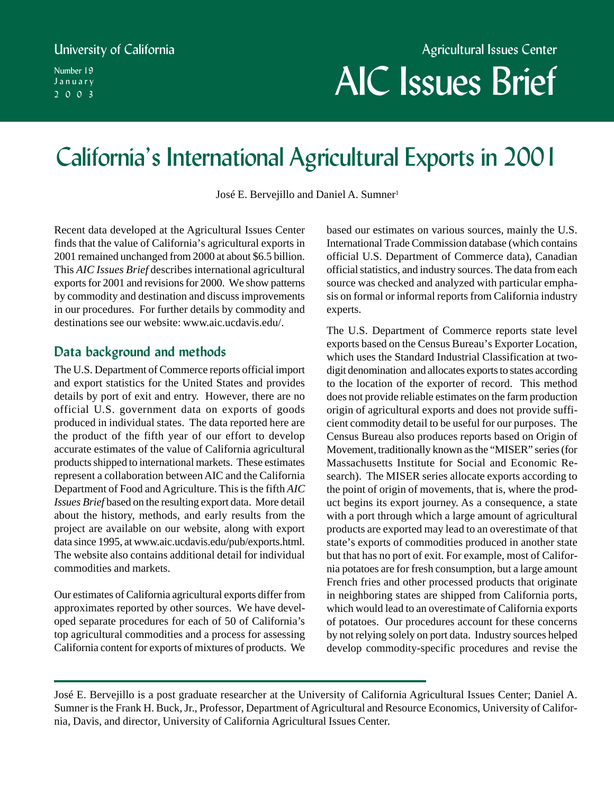#### University of California

Number 19 January 2003

# Agricultural Issues Center AIC Issues Brief

## California's International Agricultural Exports in 2001

José E. Bervejillo and Daniel A. Sumner<sup>1</sup>

Recent data developed at the Agricultural Issues Center finds that the value of California's agricultural exports in 2001 remained unchanged from 2000 at about \$6.5 billion. This *AIC Issues Brief* describes international agricultural exports for 2001 and revisions for 2000. We show patterns by commodity and destination and discuss improvements in our procedures. For further details by commodity and destinations see our website: www.aic.ucdavis.edu/.

#### **Data background and methods**

The U.S. Department of Commerce reports official import and export statistics for the United States and provides details by port of exit and entry. However, there are no official U.S. government data on exports of goods produced in individual states. The data reported here are the product of the fifth year of our effort to develop accurate estimates of the value of California agricultural products shipped to international markets. These estimates represent a collaboration between AIC and the California Department of Food and Agriculture. This is the fifth *AIC Issues Brief* based on the resulting export data. More detail about the history, methods, and early results from the project are available on our website, along with export data since 1995, at www.aic.ucdavis.edu/pub/exports.html. The website also contains additional detail for individual commodities and markets.

Our estimates of California agricultural exports differ from approximates reported by other sources. We have developed separate procedures for each of 50 of California's top agricultural commodities and a process for assessing California content for exports of mixtures of products. We based our estimates on various sources, mainly the U.S. International Trade Commission database (which contains official U.S. Department of Commerce data), Canadian official statistics, and industry sources. The data from each source was checked and analyzed with particular emphasis on formal or informal reports from California industry experts.

The U.S. Department of Commerce reports state level exports based on the Census Bureau's Exporter Location, which uses the Standard Industrial Classification at twodigit denomination and allocates exports to states according to the location of the exporter of record. This method does not provide reliable estimates on the farm production origin of agricultural exports and does not provide sufficient commodity detail to be useful for our purposes. The Census Bureau also produces reports based on Origin of Movement, traditionally known as the "MISER" series (for Massachusetts Institute for Social and Economic Research). The MISER series allocate exports according to the point of origin of movements, that is, where the product begins its export journey. As a consequence, a state with a port through which a large amount of agricultural products are exported may lead to an overestimate of that state's exports of commodities produced in another state but that has no port of exit. For example, most of California potatoes are for fresh consumption, but a large amount French fries and other processed products that originate in neighboring states are shipped from California ports, which would lead to an overestimate of California exports of potatoes. Our procedures account for these concerns by not relying solely on port data. Industry sources helped develop commodity-specific procedures and revise the

José E. Bervejillo is a post graduate researcher at the University of California Agricultural Issues Center; Daniel A. Sumner is the Frank H. Buck, Jr., Professor, Department of Agricultural and Resource Economics, University of California, Davis, and director, University of California Agricultural Issues Center.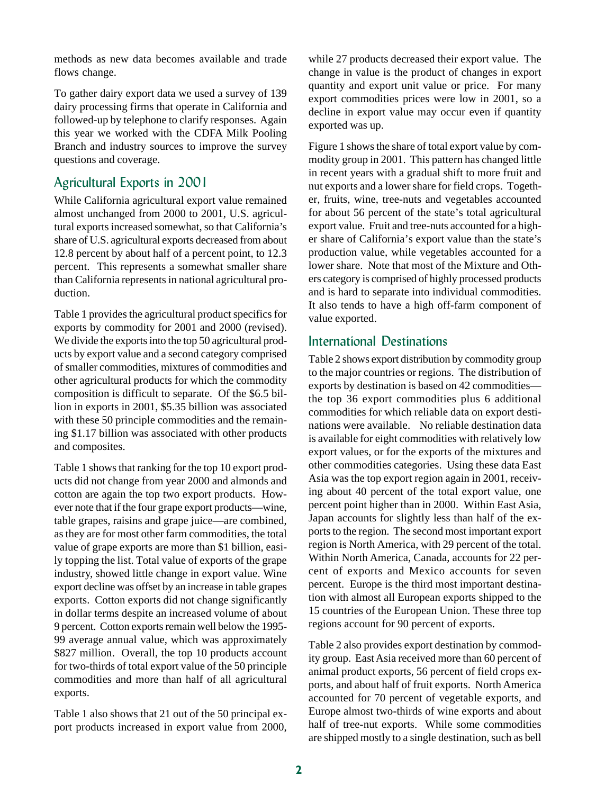methods as new data becomes available and trade flows change.

To gather dairy export data we used a survey of 139 dairy processing firms that operate in California and followed-up by telephone to clarify responses. Again this year we worked with the CDFA Milk Pooling Branch and industry sources to improve the survey questions and coverage.

#### Agricultural Exports in 2001

While California agricultural export value remained almost unchanged from 2000 to 2001, U.S. agricultural exports increased somewhat, so that California's share of U.S. agricultural exports decreased from about 12.8 percent by about half of a percent point, to 12.3 percent. This represents a somewhat smaller share than California represents in national agricultural production.

Table 1 provides the agricultural product specifics for exports by commodity for 2001 and 2000 (revised). We divide the exports into the top 50 agricultural products by export value and a second category comprised of smaller commodities, mixtures of commodities and other agricultural products for which the commodity composition is difficult to separate. Of the \$6.5 billion in exports in 2001, \$5.35 billion was associated with these 50 principle commodities and the remaining \$1.17 billion was associated with other products and composites.

Table 1 shows that ranking for the top 10 export products did not change from year 2000 and almonds and cotton are again the top two export products. However note that if the four grape export products—wine, table grapes, raisins and grape juice—are combined, as they are for most other farm commodities, the total value of grape exports are more than \$1 billion, easily topping the list. Total value of exports of the grape industry, showed little change in export value. Wine export decline was offset by an increase in table grapes exports. Cotton exports did not change significantly in dollar terms despite an increased volume of about 9 percent. Cotton exports remain well below the 1995- 99 average annual value, which was approximately \$827 million. Overall, the top 10 products account for two-thirds of total export value of the 50 principle commodities and more than half of all agricultural exports.

Table 1 also shows that 21 out of the 50 principal export products increased in export value from 2000,

while 27 products decreased their export value. The change in value is the product of changes in export quantity and export unit value or price. For many export commodities prices were low in 2001, so a decline in export value may occur even if quantity exported was up.

Figure 1 shows the share of total export value by commodity group in 2001. This pattern has changed little in recent years with a gradual shift to more fruit and nut exports and a lower share for field crops. Together, fruits, wine, tree-nuts and vegetables accounted for about 56 percent of the state's total agricultural export value. Fruit and tree-nuts accounted for a higher share of California's export value than the state's production value, while vegetables accounted for a lower share. Note that most of the Mixture and Others category is comprised of highly processed products and is hard to separate into individual commodities. It also tends to have a high off-farm component of value exported.

#### International Destinations

Table 2 shows export distribution by commodity group to the major countries or regions. The distribution of exports by destination is based on 42 commodities the top 36 export commodities plus 6 additional commodities for which reliable data on export destinations were available. No reliable destination data is available for eight commodities with relatively low export values, or for the exports of the mixtures and other commodities categories. Using these data East Asia was the top export region again in 2001, receiving about 40 percent of the total export value, one percent point higher than in 2000. Within East Asia, Japan accounts for slightly less than half of the exports to the region. The second most important export region is North America, with 29 percent of the total. Within North America, Canada, accounts for 22 percent of exports and Mexico accounts for seven percent. Europe is the third most important destination with almost all European exports shipped to the 15 countries of the European Union. These three top regions account for 90 percent of exports.

Table 2 also provides export destination by commodity group. East Asia received more than 60 percent of animal product exports, 56 percent of field crops exports, and about half of fruit exports. North America accounted for 70 percent of vegetable exports, and Europe almost two-thirds of wine exports and about half of tree-nut exports. While some commodities are shipped mostly to a single destination, such as bell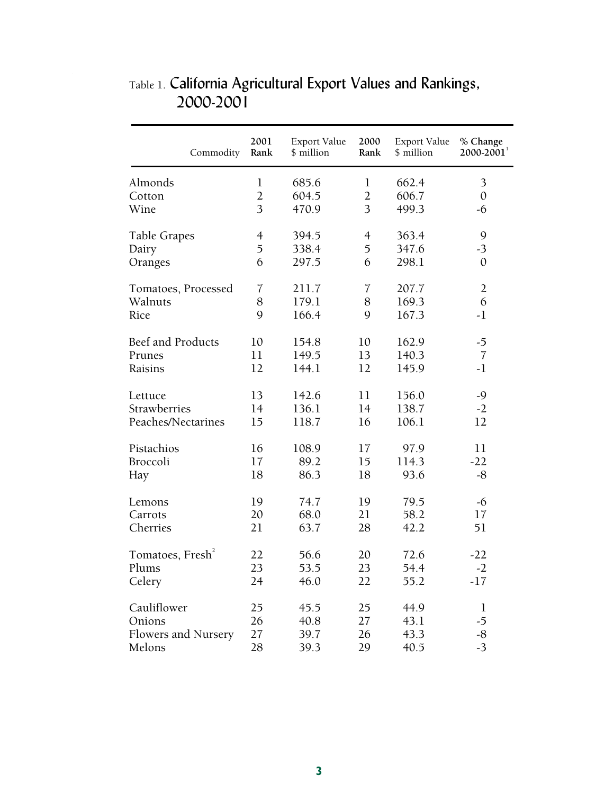| Commodity                    | 2001<br>Rank   | Export Value<br>\$ million | 2000<br>Rank   | Export Value<br>\$ million | % Change<br>$2000 - 2001$ <sup>1</sup> |
|------------------------------|----------------|----------------------------|----------------|----------------------------|----------------------------------------|
| Almonds                      | $\mathbf 1$    | 685.6                      | $\mathbf{1}$   | 662.4                      | 3                                      |
| Cotton                       | $\overline{2}$ | 604.5                      | $\overline{2}$ | 606.7                      | $\mathbf{0}$                           |
| Wine                         | 3              | 470.9                      | 3              | 499.3                      | -6                                     |
| Table Grapes                 | $\overline{4}$ | 394.5                      | $\overline{4}$ | 363.4                      | 9                                      |
| Dairy                        | 5              | 338.4                      | 5              | 347.6                      | $-3$                                   |
| Oranges                      | 6              | 297.5                      | 6              | 298.1                      | $\mathbf{0}$                           |
| Tomatoes, Processed          | $\overline{7}$ | 211.7                      | $\overline{7}$ | 207.7                      | $\overline{2}$                         |
| Walnuts                      | 8              | 179.1                      | 8              | 169.3                      | 6                                      |
| Rice                         | 9              | 166.4                      | 9              | 167.3                      | $-1$                                   |
| Beef and Products            | 10             | 154.8                      | 10             | 162.9                      | $-5$                                   |
| Prunes                       | 11             | 149.5                      | 13             | 140.3                      | $\overline{7}$                         |
| Raisins                      | 12             | 144.1                      | 12             | 145.9                      | $-1$                                   |
| Lettuce                      | 13             | 142.6                      | 11             | 156.0                      | $-9$                                   |
| Strawberries                 | 14             | 136.1                      | 14             | 138.7                      | $-2$                                   |
| Peaches/Nectarines           | 15             | 118.7                      | 16             | 106.1                      | 12                                     |
| Pistachios                   | 16             | 108.9                      | 17             | 97.9                       | 11                                     |
| Broccoli                     | 17             | 89.2                       | 15             | 114.3                      | $-22$                                  |
| Hay                          | 18             | 86.3                       | 18             | 93.6                       | $-8$                                   |
| Lemons                       | 19             | 74.7                       | 19             | 79.5                       | $-6$                                   |
| Carrots                      | 20             | 68.0                       | 21             | 58.2                       | 17                                     |
| Cherries                     | 21             | 63.7                       | 28             | 42.2                       | 51                                     |
| Tomatoes, Fresh <sup>2</sup> | 22             | 56.6                       | 20             | 72.6                       | $-22$                                  |
| Plums                        | 23             | 53.5                       | 23             | 54.4                       | $-2$                                   |
| Celery                       | 24             | 46.0                       | 22             | 55.2                       | $-17$                                  |
| Cauliflower                  | 25             | 45.5                       | 25             | 44.9                       | $\mathbf 1$                            |
| Onions                       | 26             | 40.8                       | 27             | 43.1                       | $-5$                                   |
| Flowers and Nursery          | 27             | 39.7                       | 26             | 43.3                       | $-8$                                   |
| Melons                       | 28             | 39.3                       | 29             | 40.5                       | $-3$                                   |

### Table 1. California Agricultural Export Values and Rankings, 2000-2001

 $\overline{a}$ 

 $\overline{\mathcal{E}}$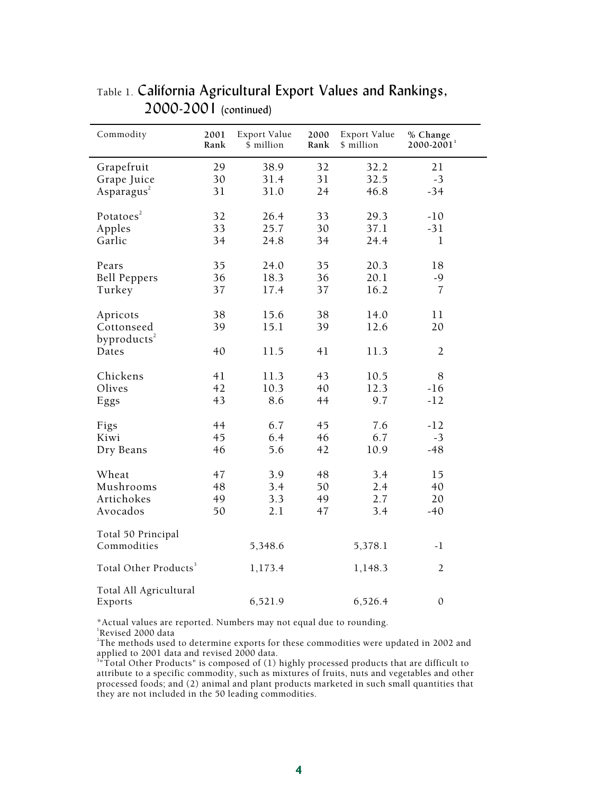| Commodity                             | 2001<br>Rank | Export Value<br>\$ million | 2000<br>Rank | Export Value<br>\$ million | % Change<br>$2000 - 2001$ <sup>1</sup> |
|---------------------------------------|--------------|----------------------------|--------------|----------------------------|----------------------------------------|
| Grapefruit                            | 29           | 38.9                       | 32           | 32.2                       | 21                                     |
| Grape Juice<br>Asparagus <sup>2</sup> | 30<br>31     | 31.4<br>31.0               | 31<br>24     | 32.5<br>46.8               | $-3$<br>$-34$                          |
|                                       |              |                            |              |                            |                                        |
| Potatoes <sup>2</sup>                 | 32           | 26.4                       | 33           | 29.3                       | $-10$                                  |
| Apples                                | 33           | 25.7                       | 30           | 37.1                       | $-31$                                  |
| Garlic                                | 34           | 24.8                       | 34           | 24.4                       | 1                                      |
| Pears                                 | 35           | 24.0                       | 35           | 20.3                       | 18                                     |
| <b>Bell Peppers</b>                   | 36           | 18.3                       | 36           | 20.1                       | $-9$                                   |
| Turkey                                | 37           | 17.4                       | 37           | 16.2                       | $\overline{7}$                         |
|                                       |              |                            |              |                            |                                        |
| Apricots                              | 38           | 15.6                       | 38           | 14.0                       | 11                                     |
| Cottonseed                            | 39           | 15.1                       | 39           | 12.6                       | 20                                     |
| byproducts <sup>2</sup><br>Dates      | 40           | 11.5                       | 41           | 11.3                       | $\overline{2}$                         |
|                                       |              |                            |              |                            |                                        |
| Chickens                              | 41           | 11.3                       | 43           | 10.5                       | 8                                      |
| Olives                                | 42           | 10.3                       | 40           | 12.3                       | $-16$                                  |
| Eggs                                  | 43           | 8.6                        | 44           | 9.7                        | $-12$                                  |
| Figs                                  | 44           | 6.7                        | 45           | 7.6                        | $-12$                                  |
| Kiwi                                  | 45           | 6.4                        | 46           | 6.7                        | $-3$                                   |
| Dry Beans                             | 46           | 5.6                        | 42           | 10.9                       | $-48$                                  |
|                                       |              |                            |              |                            |                                        |
| Wheat                                 | 47           | 3.9                        | 48           | 3.4                        | 15                                     |
| Mushrooms                             | 48           | 3.4                        | 50           | 2.4                        | 40                                     |
| Artichokes                            | 49<br>50     | 3.3<br>2.1                 | 49           | 2.7<br>3.4                 | 20                                     |
| Avocados                              |              |                            | 47           |                            | $-40$                                  |
| Total 50 Principal                    |              |                            |              |                            |                                        |
| Commodities                           |              | 5,348.6                    |              | 5,378.1                    | $-1$                                   |
| Total Other Products <sup>3</sup>     |              | 1,173.4                    |              | 1,148.3                    | $\overline{2}$                         |
| Total All Agricultural<br>Exports     |              | 6,521.9                    |              | 6,526.4                    | $\boldsymbol{0}$                       |

Table 1. California Agricultural Export Values and Rankings, 2000-2001 (continued)

\*Actual values are reported. Numbers may not equal due to rounding.

1 Revised 2000 data

 $\bar{z}$ 

<sup>2</sup>The methods used to determine exports for these commodities were updated in 2002 and

applied to 2001 data and revised 2000 data.<br><sup>3</sup>"Total Other Products" is composed of (1) highly processed products that are difficult to attribute to a specific commodity, such as mixtures of fruits, nuts and vegetables and other processed foods; and (2) animal and plant products marketed in such small quantities that they are not included in the 50 leading commodities.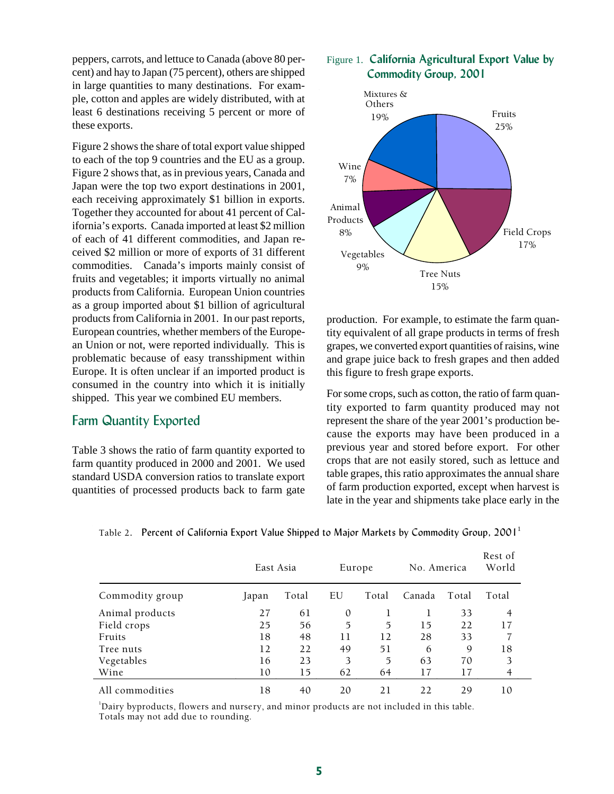peppers, carrots, and lettuce to Canada (above 80 percent) and hay to Japan (75 percent), others are shipped in large quantities to many destinations. For example, cotton and apples are widely distributed, with at least 6 destinations receiving 5 percent or more of these exports.

Figure 2 shows the share of total export value shipped to each of the top 9 countries and the EU as a group. Figure 2 shows that, as in previous years, Canada and Japan were the top two export destinations in 2001, each receiving approximately \$1 billion in exports. Together they accounted for about 41 percent of California's exports. Canada imported at least \$2 million of each of 41 different commodities, and Japan received \$2 million or more of exports of 31 different commodities. Canada's imports mainly consist of fruits and vegetables; it imports virtually no animal products from California. European Union countries as a group imported about \$1 billion of agricultural products from California in 2001. In our past reports, European countries, whether members of the European Union or not, were reported individually. This is problematic because of easy transshipment within Europe. It is often unclear if an imported product is consumed in the country into which it is initially shipped. This year we combined EU members.

#### Farm Quantity Exported

Table 3 shows the ratio of farm quantity exported to farm quantity produced in 2000 and 2001. We used standard USDA conversion ratios to translate export quantities of processed products back to farm gate

#### Figure 1. **California Agricultural Export Value by Commodity Group, 2001**



production. For example, to estimate the farm quantity equivalent of all grape products in terms of fresh grapes, we converted export quantities of raisins, wine and grape juice back to fresh grapes and then added this figure to fresh grape exports.

For some crops, such as cotton, the ratio of farm quantity exported to farm quantity produced may not represent the share of the year 2001's production because the exports may have been produced in a previous year and stored before export. For other crops that are not easily stored, such as lettuce and table grapes, this ratio approximates the annual share of farm production exported, except when harvest is late in the year and shipments take place early in the

Rest of

|                 | East Asia |       |    | Europe | No. America |       | NEST OF<br>World |
|-----------------|-----------|-------|----|--------|-------------|-------|------------------|
| Commodity group | Japan     | Total | EU | Total  | Canada      | Total | Total            |
| Animal products | 27        | 61    | 0  |        |             | 33    | 4                |
| Field crops     | 25        | 56    | 5  | 5      | 15          | 22    | 17               |
| Fruits          | 18        | 48    | 11 | 12     | 28          | 33    |                  |
| Tree nuts       | 12        | 22    | 49 | 51     | 6           | 9     | 18               |
| Vegetables      | 16        | 23    | 3  | 5      | 63          | 70    | 3                |
| Wine            | 10        | 15    | 62 | 64     | 17          | 17    | 4                |
| All commodities | 18        | 40    | 20 | 21     | 22          | 29    | 10               |

Table 2. Percent of California Export Value Shipped to Major Markets by Commodity Group,  $2001<sup>1</sup>$ 

<sup>1</sup>Dairy byproducts, flowers and nursery, and minor products are not included in this table. Totals may not add due to rounding.